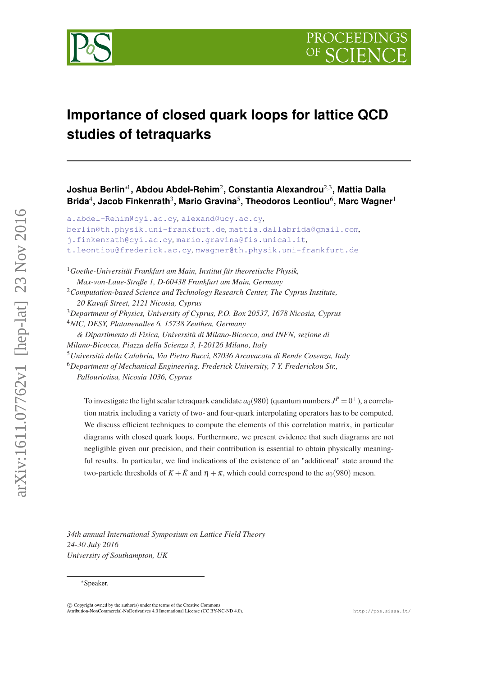

# **Importance of closed quark loops for lattice QCD studies of tetraquarks**

**Joshua Berlin**∗<sup>1</sup> **, Abdou Abdel-Rehim**<sup>2</sup> **, Constantia Alexandrou**2,<sup>3</sup> **, Mattia Dalla** Brida<sup>4</sup>, Jacob Finkenrath<sup>3</sup>, Mario Gravina<sup>5</sup>, Theodoros Leontiou<sup>6</sup>, Marc Wagner<sup>1</sup>

```
a.abdel-Rehim@cyi.ac.cy, alexand@ucy.ac.cy,
berlin@th.physik.uni-frankfurt.de, mattia.dallabrida@gmail.com,
j.finkenrath@cyi.ac.cy, mario.gravina@fis.unical.it,
t.leontiou@frederick.ac.cy, mwagner@th.physik.uni-frankfurt.de
```
<sup>1</sup>*Goethe-Universität Frankfurt am Main, Institut für theoretische Physik,*

*Max-von-Laue-Straße 1, D-60438 Frankfurt am Main, Germany* <sup>2</sup>*Computation-based Science and Technology Research Center, The Cyprus Institute, 20 Kavafi Street, 2121 Nicosia, Cyprus*

<sup>3</sup>*Department of Physics, University of Cyprus, P.O. Box 20537, 1678 Nicosia, Cyprus* <sup>4</sup>*NIC, DESY, Platanenallee 6, 15738 Zeuthen, Germany*

*& Dipartimento di Fisica, Università di Milano-Bicocca, and INFN, sezione di Milano-Bicocca, Piazza della Scienza 3, I-20126 Milano, Italy* <sup>5</sup>*Università della Calabria, Via Pietro Bucci, 87036 Arcavacata di Rende Cosenza, Italy* <sup>6</sup>*Department of Mechanical Engineering, Frederick University, 7 Y. Frederickou Str., Pallouriotisa, Nicosia 1036, Cyprus*

To investigate the light scalar tetraquark candidate  $a_0(980)$  (quantum numbers  $J^P = 0^+$ ), a correlation matrix including a variety of two- and four-quark interpolating operators has to be computed. We discuss efficient techniques to compute the elements of this correlation matrix, in particular diagrams with closed quark loops. Furthermore, we present evidence that such diagrams are not negligible given our precision, and their contribution is essential to obtain physically meaningful results. In particular, we find indications of the existence of an "additional" state around the two-particle thresholds of  $K + \bar{K}$  and  $\eta + \pi$ , which could correspond to the  $a_0(980)$  meson.

*34th annual International Symposium on Lattice Field Theory 24-30 July 2016 University of Southampton, UK*

#### <sup>∗</sup>Speaker.

 $\odot$  Copyright owned by the author(s) under the terms of the Creative Commons .<br>Atto - NonCommercial-NoDerivatives 4.0 International License (CC BY-NC-ND 4.0). http://pos.sissa.it/

arXiv:1611.07762v1 [hep-lat] 23 Nov 2016

 $arXiv:1611.07762v1$  [hep-lat] 23 Nov 2016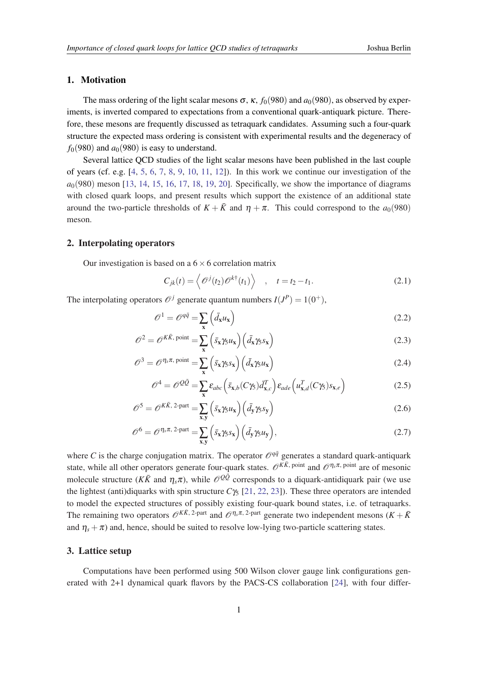### <span id="page-1-0"></span>1. Motivation

The mass ordering of the light scalar mesons  $\sigma$ ,  $\kappa$ ,  $f_0(980)$  and  $a_0(980)$ , as observed by experiments, is inverted compared to expectations from a conventional quark-antiquark picture. Therefore, these mesons are frequently discussed as tetraquark candidates. Assuming such a four-quark structure the expected mass ordering is consistent with experimental results and the degeneracy of  $f<sub>0</sub>(980)$  and  $a<sub>0</sub>(980)$  is easy to understand.

Several lattice QCD studies of the light scalar mesons have been published in the last couple of years (cf. e.g.  $[4, 5, 6, 7, 8, 9, 10, 11, 12]$  $[4, 5, 6, 7, 8, 9, 10, 11, 12]$  $[4, 5, 6, 7, 8, 9, 10, 11, 12]$  $[4, 5, 6, 7, 8, 9, 10, 11, 12]$  $[4, 5, 6, 7, 8, 9, 10, 11, 12]$  $[4, 5, 6, 7, 8, 9, 10, 11, 12]$  $[4, 5, 6, 7, 8, 9, 10, 11, 12]$  $[4, 5, 6, 7, 8, 9, 10, 11, 12]$  $[4, 5, 6, 7, 8, 9, 10, 11, 12]$  $[4, 5, 6, 7, 8, 9, 10, 11, 12]$  $[4, 5, 6, 7, 8, 9, 10, 11, 12]$  $[4, 5, 6, 7, 8, 9, 10, 11, 12]$  $[4, 5, 6, 7, 8, 9, 10, 11, 12]$  $[4, 5, 6, 7, 8, 9, 10, 11, 12]$  $[4, 5, 6, 7, 8, 9, 10, 11, 12]$  $[4, 5, 6, 7, 8, 9, 10, 11, 12]$  $[4, 5, 6, 7, 8, 9, 10, 11, 12]$  $[4, 5, 6, 7, 8, 9, 10, 11, 12]$ ). In this work we continue our investigation of the  $a<sub>0</sub>(980)$  meson [\[13](#page-6-0), [14,](#page-6-0) [15](#page-6-0), [16,](#page-6-0) [17](#page-6-0), [18](#page-6-0), [19,](#page-6-0) [20](#page-6-0)]. Specifically, we show the importance of diagrams with closed quark loops, and present results which support the existence of an additional state around the two-particle thresholds of  $K + \bar{K}$  and  $\eta + \pi$ . This could correspond to the  $a_0(980)$ meson.

#### 2. Interpolating operators

Our investigation is based on a  $6 \times 6$  correlation matrix

$$
C_{jk}(t) = \left\langle \mathcal{O}^{j}(t_2) \mathcal{O}^{k\dagger}(t_1) \right\rangle , \quad t = t_2 - t_1.
$$
 (2.1)

The interpolating operators  $\mathcal{O}^j$  generate quantum numbers  $I(J^P) = 1(0^+),$ 

$$
\mathscr{O}^1 = \mathscr{O}^{q\bar{q}} = \sum_{\mathbf{x}} \left( \bar{d}_{\mathbf{x}} u_{\mathbf{x}} \right) \tag{2.2}
$$

$$
\mathcal{O}^2 = \mathcal{O}^{K\bar{K}, \text{ point}} = \sum_{\mathbf{x}} \left( \bar{s}_{\mathbf{x}} \gamma_5 u_{\mathbf{x}} \right) \left( \bar{d}_{\mathbf{x}} \gamma_5 s_{\mathbf{x}} \right) \tag{2.3}
$$

$$
\mathscr{O}^3 = \mathscr{O}^{\eta_s \pi, \text{ point}} = \sum_{\mathbf{x}} \left( \bar{s}_{\mathbf{x}} \gamma_5 s_{\mathbf{x}} \right) \left( \bar{d}_{\mathbf{x}} \gamma_5 u_{\mathbf{x}} \right) \tag{2.4}
$$

$$
\mathcal{O}^4 = \mathcal{O}^{Q\bar{Q}} = \sum_{\mathbf{x}} \varepsilon_{abc} \left( \bar{s}_{\mathbf{x},b} (C\gamma_5) \bar{d}_{\mathbf{x},c}^T \right) \varepsilon_{ade} \left( u_{\mathbf{x},d}^T (C\gamma_5) s_{\mathbf{x},e} \right)
$$
(2.5)

$$
\mathscr{O}^5 = \mathscr{O}^{K\bar{K}, 2\text{-part}} = \sum_{\mathbf{x}, \mathbf{y}} \left( \bar{s}_{\mathbf{x}} \gamma_5 u_{\mathbf{x}} \right) \left( \bar{d}_{\mathbf{y}} \gamma_5 s_{\mathbf{y}} \right)
$$
(2.6)

$$
\mathscr{O}^6 = \mathscr{O}^{\eta_s \pi, 2\text{-part}} = \sum_{\mathbf{x}, \mathbf{y}} \left( \bar{s}_{\mathbf{x}} \gamma_5 s_{\mathbf{x}} \right) \left( \bar{d}_{\mathbf{y}} \gamma_5 u_{\mathbf{y}} \right), \tag{2.7}
$$

where *C* is the charge conjugation matrix. The operator  $\mathcal{O}^{q\bar{q}}$  generates a standard quark-antiquark state, while all other operators generate four-quark states.  $\mathcal{O}^{K\bar{K}}$ , point and  $\mathcal{O}^{\eta_s\pi}$ , point are of mesonic molecule structure ( $K\bar{K}$  and  $\eta_s\pi$ ), while  $\mathcal{O}^{Q\bar{Q}}$  corresponds to a diquark-antidiquark pair (we use the lightest (anti)diquarks with spin structure  $C\gamma_5$  [[21](#page-6-0), [22,](#page-6-0) [23](#page-6-0)]). These three operators are intended to model the expected structures of possibly existing four-quark bound states, i.e. of tetraquarks. The remaining two operators  $\mathcal{O}^{K\bar{K}$ , 2-part and  $\mathcal{O}^{\eta_s\pi}$ , 2-part generate two independent mesons  $(K+\bar{K})$ and  $\eta_s + \pi$ ) and, hence, should be suited to resolve low-lying two-particle scattering states.

## 3. Lattice setup

Computations have been performed using 500 Wilson clover gauge link configurations generated with 2+1 dynamical quark flavors by the PACS-CS collaboration [[24\]](#page-6-0), with four differ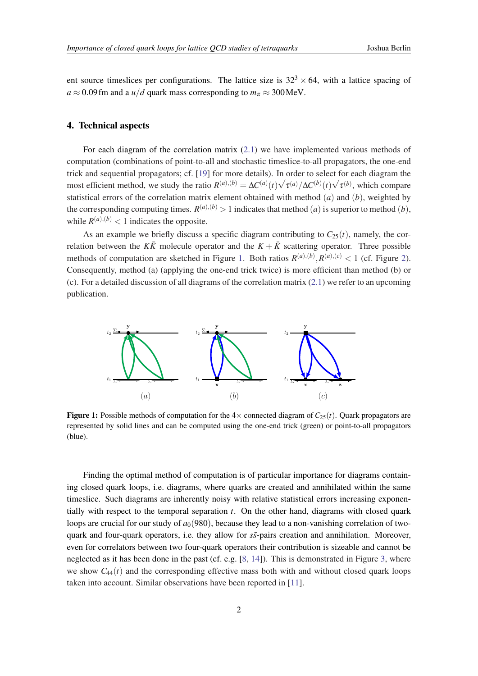<span id="page-2-0"></span>ent source timeslices per configurations. The lattice size is  $32<sup>3</sup> \times 64$ , with a lattice spacing of  $a \approx 0.09$  fm and a *u/d* quark mass corresponding to  $m_\pi \approx 300$  MeV.

## 4. Technical aspects

For each diagram of the correlation matrix [\(2.1](#page-1-0)) we have implemented various methods of computation (combinations of point-to-all and stochastic timeslice-to-all propagators, the one-end trick and sequential propagators; cf. [\[19](#page-6-0)] for more details). In order to select for each diagram the most efficient method, we study the ratio  $R^{(a),(b)} = \Delta C^{(a)}(t)\sqrt{\tau^{(a)}}/\Delta C^{(b)}(t)\sqrt{\tau^{(b)}},$  which compare statistical errors of the correlation matrix element obtained with method (*a*) and (*b*), weighted by the corresponding computing times.  $R^{(a),(b)} > 1$  indicates that method  $(a)$  is superior to method  $(b)$ , while  $R^{(a),(b)} < 1$  indicates the opposite.

As an example we briefly discuss a specific diagram contributing to  $C_{25}(t)$ , namely, the correlation between the  $K\bar{K}$  molecule operator and the  $K + \bar{K}$  scattering operator. Three possible methods of computation are sketched in Figure 1. Both ratios  $R^{(a),(b)}, R^{(a),(c)} < 1$  (cf. Figure [2\)](#page-3-0). Consequently, method (a) (applying the one-end trick twice) is more efficient than method (b) or (c). For a detailed discussion of all diagrams of the correlation matrix  $(2.1)$  $(2.1)$  $(2.1)$  we refer to an upcoming publication.



**Figure 1:** Possible methods of computation for the  $4 \times$  connected diagram of  $C_{25}(t)$ . Quark propagators are represented by solid lines and can be computed using the one-end trick (green) or point-to-all propagators (blue).

Finding the optimal method of computation is of particular importance for diagrams containing closed quark loops, i.e. diagrams, where quarks are created and annihilated within the same timeslice. Such diagrams are inherently noisy with relative statistical errors increasing exponentially with respect to the temporal separation *t*. On the other hand, diagrams with closed quark loops are crucial for our study of  $a<sub>0</sub>(980)$ , because they lead to a non-vanishing correlation of twoquark and four-quark operators, i.e. they allow for  $s\bar{s}$ -pairs creation and annihilation. Moreover, even for correlators between two four-quark operators their contribution is sizeable and cannot be neglected as it has been done in the past (cf. e.g.  $[8, 14]$  $[8, 14]$  $[8, 14]$  $[8, 14]$ ). This is demonstrated in Figure [3,](#page-3-0) where we show  $C_{44}(t)$  and the corresponding effective mass both with and without closed quark loops taken into account. Similar observations have been reported in [[11\]](#page-6-0).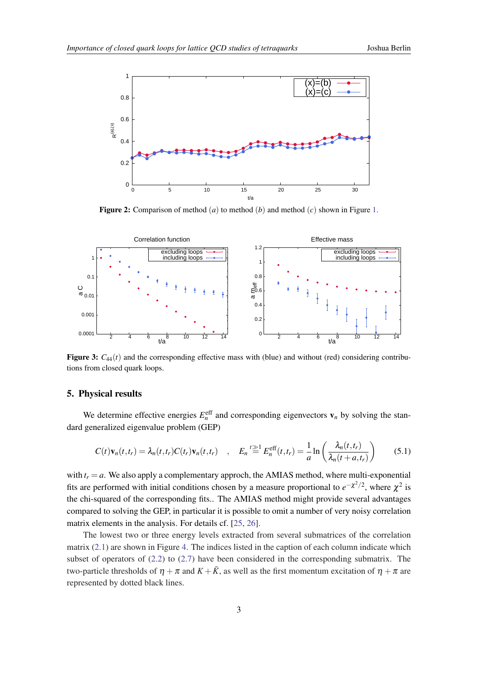<span id="page-3-0"></span>

Figure 2: Comparison of method (*a*) to method (*b*) and method (*c*) shown in Figure [1.](#page-2-0)



**Figure 3:**  $C_{44}(t)$  and the corresponding effective mass with (blue) and without (red) considering contributions from closed quark loops.

## 5. Physical results

We determine effective energies  $E_n^{\text{eff}}$  and corresponding eigenvectors  $v_n$  by solving the standard generalized eigenvalue problem (GEP)

$$
C(t)\mathbf{v}_n(t,t_r) = \lambda_n(t,t_r)C(t_r)\mathbf{v}_n(t,t_r) \quad , \quad E_n \stackrel{t \geq 1}{=} E_n^{\text{eff}}(t,t_r) = \frac{1}{a}\ln\left(\frac{\lambda_n(t,t_r)}{\lambda_n(t+a,t_r)}\right) \tag{5.1}
$$

with  $t_r = a$ . We also apply a complementary approch, the AMIAS method, where multi-exponential fits are performed with initial conditions chosen by a measure proportional to  $e^{-\chi^2/2}$ , where  $\chi^2$  is the chi-squared of the corresponding fits.. The AMIAS method might provide several advantages compared to solving the GEP, in particular it is possible to omit a number of very noisy correlation matrix elements in the analysis. For details cf. [\[25,](#page-6-0) [26](#page-6-0)].

The lowest two or three energy levels extracted from several submatrices of the correlation matrix  $(2.1)$  are shown in Figure [4.](#page-4-0) The indices listed in the caption of each column indicate which subset of operators of  $(2.2)$  $(2.2)$  to  $(2.7)$  $(2.7)$  have been considered in the corresponding submatrix. The two-particle thresholds of  $\eta + \pi$  and  $K + \bar{K}$ , as well as the first momentum excitation of  $\eta + \pi$  are represented by dotted black lines.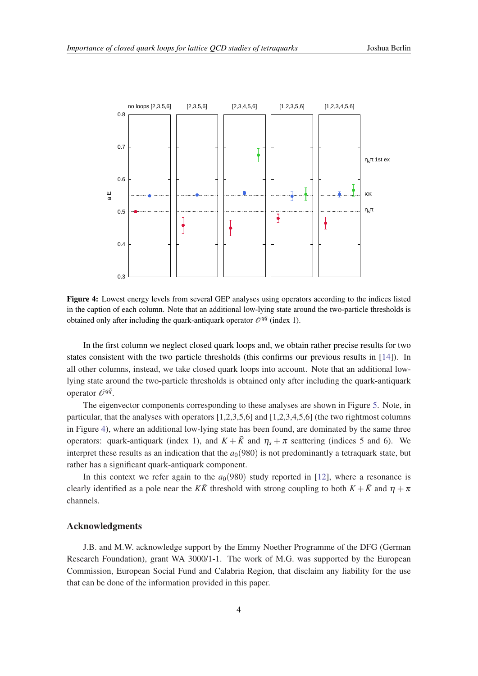<span id="page-4-0"></span>

Figure 4: Lowest energy levels from several GEP analyses using operators according to the indices listed in the caption of each column. Note that an additional low-lying state around the two-particle thresholds is obtained only after including the quark-antiquark operator  $\mathcal{O}^{q\bar{q}}$  (index 1).

In the first column we neglect closed quark loops and, we obtain rather precise results for two states consistent with the two particle thresholds (this confirms our previous results in [[14\]](#page-6-0)). In all other columns, instead, we take closed quark loops into account. Note that an additional lowlying state around the two-particle thresholds is obtained only after including the quark-antiquark operator O*qq*¯ .

The eigenvector components corresponding to these analyses are shown in Figure [5.](#page-5-0) Note, in particular, that the analyses with operators [1,2,3,5,6] and [1,2,3,4,5,6] (the two rightmost columns in Figure 4), where an additional low-lying state has been found, are dominated by the same three operators: quark-antiquark (index 1), and  $K + \bar{K}$  and  $\eta_s + \pi$  scattering (indices 5 and 6). We interpret these results as an indication that the  $a<sub>0</sub>(980)$  is not predominantly a tetraquark state, but rather has a significant quark-antiquark component.

In this context we refer again to the  $a<sub>0</sub>(980)$  study reported in [\[12](#page-6-0)], where a resonance is clearly identified as a pole near the *KR*<sup> $\bar{K}$ </sup> threshold with strong coupling to both  $K + \bar{K}$  and  $\eta + \pi$ channels.

## Acknowledgments

J.B. and M.W. acknowledge support by the Emmy Noether Programme of the DFG (German Research Foundation), grant WA 3000/1-1. The work of M.G. was supported by the European Commission, European Social Fund and Calabria Region, that disclaim any liability for the use that can be done of the information provided in this paper.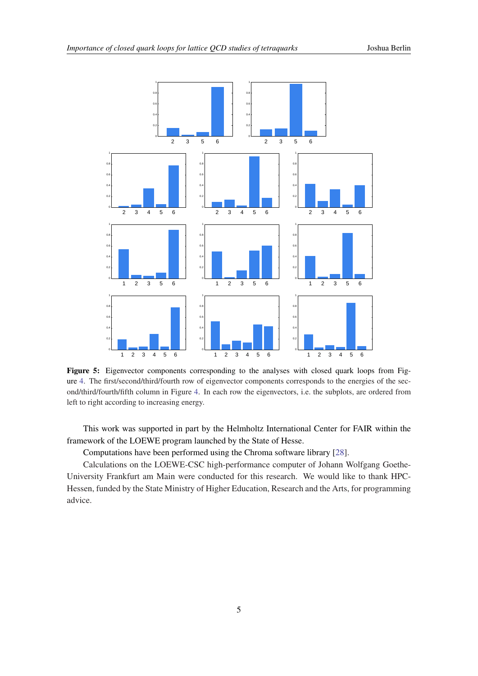<span id="page-5-0"></span>

Figure 5: Eigenvector components corresponding to the analyses with closed quark loops from Figure [4](#page-4-0). The first/second/third/fourth row of eigenvector components corresponds to the energies of the second/third/fourth/fifth column in Figure [4.](#page-4-0) In each row the eigenvectors, i.e. the subplots, are ordered from left to right according to increasing energy.

This work was supported in part by the Helmholtz International Center for FAIR within the framework of the LOEWE program launched by the State of Hesse.

Computations have been performed using the Chroma software library [[28\]](#page-6-0).

Calculations on the LOEWE-CSC high-performance computer of Johann Wolfgang Goethe-University Frankfurt am Main were conducted for this research. We would like to thank HPC-Hessen, funded by the State Ministry of Higher Education, Research and the Arts, for programming advice.